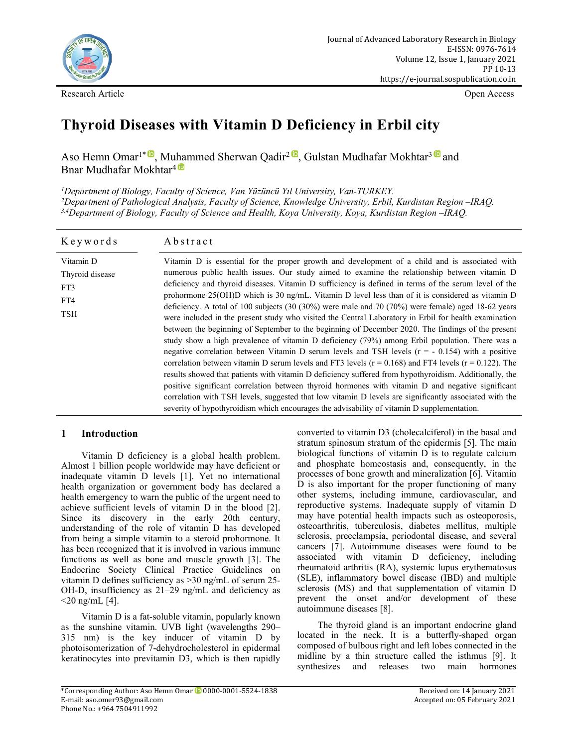

Research Article Open Access

# **Thyroid Diseases with Vitamin D Deficiency in Erbil city**

Aso Hemn Omar<sup>1\* (D</sup>, Muhammed Sh[erw](https://orcid.org/0000-0003-4057-9021)an Qadir<sup>2 (D</sup>, Gulstan Mudhafar Mokhtar<sup>3 (D</sup> and Bnar Mudhafar Mokhtar<sup>4</sub></sup>

*<sup>1</sup>Department of Biology, Faculty of Science, Van Yüzüncü Yıl University, Van-TURKEY. <sup>2</sup>Department of Pathological Analysis, Faculty of Science, Knowledge University, Erbil, Kurdistan Region –IRAQ. 3,4Department of Biology, Faculty of Science and Health, Koya University, Koya, Kurdistan Region –IRAQ.*

| Keywords                                                 | Abstract                                                                                                                                                                                                                                                                                                                                                                                                                                                                                                                                                                                                                                                                                                                                                                                                                                                                                                                                                                                                                                                                                                                                                                                                                                                                                                                                                                                                                                                                              |
|----------------------------------------------------------|---------------------------------------------------------------------------------------------------------------------------------------------------------------------------------------------------------------------------------------------------------------------------------------------------------------------------------------------------------------------------------------------------------------------------------------------------------------------------------------------------------------------------------------------------------------------------------------------------------------------------------------------------------------------------------------------------------------------------------------------------------------------------------------------------------------------------------------------------------------------------------------------------------------------------------------------------------------------------------------------------------------------------------------------------------------------------------------------------------------------------------------------------------------------------------------------------------------------------------------------------------------------------------------------------------------------------------------------------------------------------------------------------------------------------------------------------------------------------------------|
| Vitamin D<br>Thyroid disease<br>FT3<br>FT4<br><b>TSH</b> | Vitamin D is essential for the proper growth and development of a child and is associated with<br>numerous public health issues. Our study aimed to examine the relationship between vitamin D<br>deficiency and thyroid diseases. Vitamin D sufficiency is defined in terms of the serum level of the<br>prohormone $25(OH)D$ which is 30 ng/mL. Vitamin D level less than of it is considered as vitamin D<br>deficiency. A total of 100 subjects $(30 (30\%)$ were male and $70 (70\%)$ were female) aged 18-62 years<br>were included in the present study who visited the Central Laboratory in Erbil for health examination<br>between the beginning of September to the beginning of December 2020. The findings of the present<br>study show a high prevalence of vitamin D deficiency (79%) among Erbil population. There was a<br>negative correlation between Vitamin D serum levels and TSH levels $(r = -0.154)$ with a positive<br>correlation between vitamin D serum levels and FT3 levels ( $r = 0.168$ ) and FT4 levels ( $r = 0.122$ ). The<br>results showed that patients with vitamin D deficiency suffered from hypothyroidism. Additionally, the<br>positive significant correlation between thyroid hormones with vitamin D and negative significant<br>correlation with TSH levels, suggested that low vitamin D levels are significantly associated with the<br>severity of hypothyroidism which encourages the advisability of vitamin D supplementation. |

# **1 Introduction**

Vitamin D deficiency is a global health problem. Almost 1 billion people worldwide may have deficient or inadequate vitamin D levels [1]. Yet no international health organization or government body has declared a health emergency to warn the public of the urgent need to achieve sufficient levels of vitamin D in the blood [2]. Since its discovery in the early 20th century, understanding of the role of vitamin D has developed from being a simple vitamin to a steroid prohormone. It has been recognized that it is involved in various immune functions as well as bone and muscle growth [3]. The Endocrine Society Clinical Practice Guidelines on vitamin D defines sufficiency as >30 ng/mL of serum 25- OH-D, insufficiency as 21–29 ng/mL and deficiency as  $<$ 20 ng/mL [4].

Vitamin D is a fat-soluble vitamin, popularly known as the sunshine vitamin. UVB light (wavelengths 290– 315 nm) is the key inducer of vitamin D by photoisomerization of 7-dehydrocholesterol in epidermal keratinocytes into previtamin D3, which is then rapidly

converted to vitamin D3 (cholecalciferol) in the basal and stratum spinosum stratum of the epidermis [5]. The main biological functions of vitamin D is to regulate calcium and phosphate homeostasis and, consequently, in the processes of bone growth and mineralization [6]. Vitamin D is also important for the proper functioning of many other systems, including immune, cardiovascular, and reproductive systems. Inadequate supply of vitamin D may have potential health impacts such as osteoporosis, osteoarthritis, tuberculosis, diabetes mellitus, multiple sclerosis, preeclampsia, periodontal disease, and several cancers [7]. Autoimmune diseases were found to be associated with vitamin D deficiency, including rheumatoid arthritis (RA), systemic lupus erythematosus (SLE), inflammatory bowel disease (IBD) and multiple sclerosis (MS) and that supplementation of vitamin D prevent the onset and/or development of these autoimmune diseases [8].

The thyroid gland is an important endocrine gland located in the neck. It is a butterfly-shaped organ composed of bulbous right and left lobes connected in the midline by a thin structure called the isthmus [9]. It synthesizes and releases two main hormones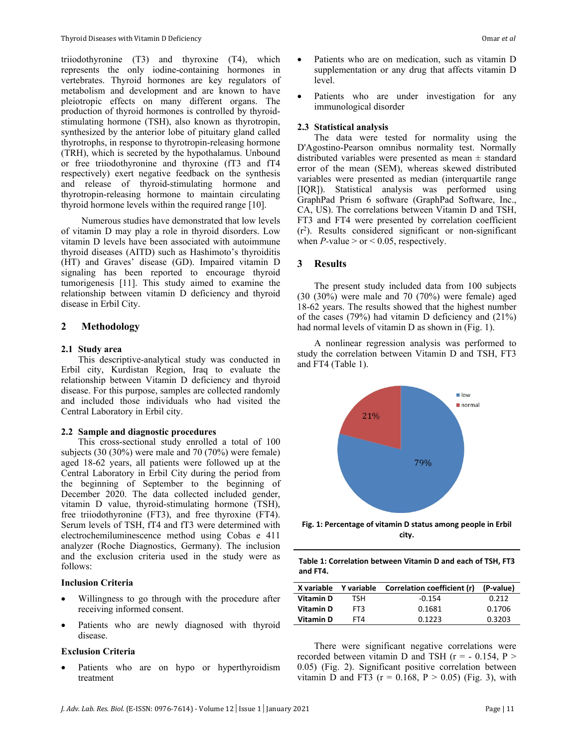triiodothyronine (T3) and thyroxine (T4), which represents the only iodine-containing hormones in vertebrates. Thyroid hormones are key regulators of metabolism and development and are known to have pleiotropic effects on many different organs. The production of thyroid hormones is controlled by thyroidstimulating hormone (TSH), also known as thyrotropin, synthesized by the anterior lobe of pituitary gland called thyrotrophs, in response to thyrotropin-releasing hormone (TRH), which is secreted by the hypothalamus. Unbound or free triiodothyronine and thyroxine (fT3 and fT4 respectively) exert negative feedback on the synthesis and release of thyroid-stimulating hormone and thyrotropin-releasing hormone to maintain circulating thyroid hormone levels within the required range [10].

Numerous studies have demonstrated that low levels of vitamin D may play a role in thyroid disorders. Low vitamin D levels have been associated with autoimmune thyroid diseases (AITD) such as Hashimoto's thyroiditis (HT) and Graves' disease (GD). Impaired vitamin D signaling has been reported to encourage thyroid tumorigenesis [11]. This study aimed to examine the relationship between vitamin D deficiency and thyroid disease in Erbil City.

# **2 Methodology**

#### **2.1 Study area**

This descriptive-analytical study was conducted in Erbil city, Kurdistan Region, Iraq to evaluate the relationship between Vitamin D deficiency and thyroid disease. For this purpose, samples are collected randomly and included those individuals who had visited the Central Laboratory in Erbil city.

#### **2.2 Sample and diagnostic procedures**

This cross-sectional study enrolled a total of 100 subjects (30 (30%) were male and 70 (70%) were female) aged 18-62 years, all patients were followed up at the Central Laboratory in Erbil City during the period from the beginning of September to the beginning of December 2020. The data collected included gender, vitamin D value, thyroid-stimulating hormone (TSH), free triiodothyronine (FT3), and free thyroxine (FT4). Serum levels of TSH, fT4 and fT3 were determined with electrochemiluminescence method using Cobas e 411 analyzer (Roche Diagnostics, Germany). The inclusion and the exclusion criteria used in the study were as follows:

#### **Inclusion Criteria**

- Willingness to go through with the procedure after receiving informed consent.
- Patients who are newly diagnosed with thyroid disease.

#### **Exclusion Criteria**

 Patients who are on hypo or hyperthyroidism treatment

- Patients who are on medication, such as vitamin D supplementation or any drug that affects vitamin D level.
- Patients who are under investigation for any immunological disorder

#### **2.3 Statistical analysis**

The data were tested for normality using the D'Agostino-Pearson omnibus normality test. Normally distributed variables were presented as mean ± standard error of the mean (SEM), whereas skewed distributed variables were presented as median (interquartile range [IQR]). Statistical analysis was performed using GraphPad Prism 6 software (GraphPad Software, Inc., CA, US). The correlations between Vitamin D and TSH, FT3 and FT4 were presented by correlation coefficient (r2 ). Results considered significant or non-significant when  $P$ -value  $>$  or  $< 0.05$ , respectively.

### **3 Results**

The present study included data from 100 subjects (30 (30%) were male and 70 (70%) were female) aged 18-62 years. The results showed that the highest number of the cases (79%) had vitamin D deficiency and (21%) had normal levels of vitamin D as shown in (Fig. 1).

A nonlinear regression analysis was performed to study the correlation between Vitamin D and TSH, FT3 and FT4 (Table 1).



**Fig. 1: Percentage of vitamin D status among people in Erbil city.**

| Table 1: Correlation between Vitamin D and each of TSH. FT3 |  |
|-------------------------------------------------------------|--|
| and FT4.                                                    |  |

|           |      | X variable Y variable Correlation coefficient (r) | (P-value) |
|-----------|------|---------------------------------------------------|-----------|
| Vitamin D | TSH. | $-0.154$                                          | 0.212     |
| Vitamin D | FT3  | 0.1681                                            | 0.1706    |
| Vitamin D | FT4  | በ 1223                                            | 0.3203    |
|           |      |                                                   |           |

There were significant negative correlations were recorded between vitamin D and TSH  $(r = -0.154, P >$ 0.05) (Fig. 2). Significant positive correlation between vitamin D and FT3 ( $r = 0.168$ ,  $P > 0.05$ ) (Fig. 3), with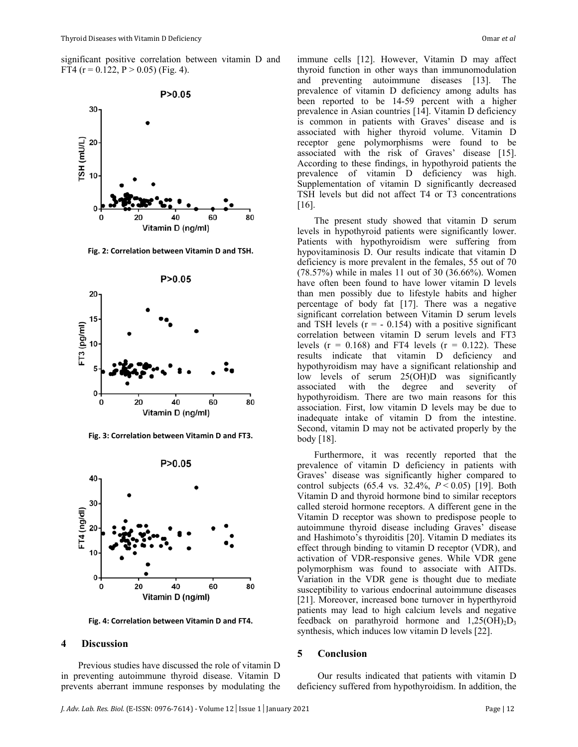significant positive correlation between vitamin D and FT4 ( $r = 0.122$ ,  $P > 0.05$ ) (Fig. 4).



**Fig. 2: Correlation between Vitamin D and TSH.**



**Fig. 3: Correlation between Vitamin D and FT3.**



**Fig. 4: Correlation between Vitamin D and FT4.**

#### **4 Discussion**

Previous studies have discussed the role of vitamin D in preventing autoimmune thyroid disease. Vitamin D prevents aberrant immune responses by modulating the immune cells [12]. However, Vitamin D may affect thyroid function in other ways than immunomodulation and preventing autoimmune diseases [13]. The prevalence of vitamin D deficiency among adults has been reported to be 14-59 percent with a higher prevalence in Asian countries [14]. Vitamin D deficiency is common in patients with Graves' disease and is associated with higher thyroid volume. Vitamin D receptor gene polymorphisms were found to be associated with the risk of Graves' disease [15]. According to these findings, in hypothyroid patients the prevalence of vitamin D deficiency was high. Supplementation of vitamin D significantly decreased TSH levels but did not affect T4 or T3 concentrations [16].

The present study showed that vitamin D serum levels in hypothyroid patients were significantly lower. Patients with hypothyroidism were suffering from hypovitaminosis D. Our results indicate that vitamin D deficiency is more prevalent in the females, 55 out of 70 (78.57%) while in males 11 out of 30 (36.66%). Women have often been found to have lower vitamin D levels than men possibly due to lifestyle habits and higher percentage of body fat [17]. There was a negative significant correlation between Vitamin D serum levels and TSH levels  $(r = -0.154)$  with a positive significant correlation between vitamin D serum levels and FT3 levels  $(r = 0.168)$  and FT4 levels  $(r = 0.122)$ . These results indicate that vitamin D deficiency and hypothyroidism may have a significant relationship and low levels of serum 25(OH)D was significantly associated with the degree and severity of hypothyroidism. There are two main reasons for this association. First, low vitamin D levels may be due to inadequate intake of vitamin D from the intestine. Second, vitamin D may not be activated properly by the body [18].

Furthermore, it was recently reported that the prevalence of vitamin D deficiency in patients with Graves' disease was significantly higher compared to control subjects (65.4 vs. 32.4%, *P* < 0.05) [19]. Both Vitamin D and thyroid hormone bind to similar receptors called steroid hormone receptors. A different gene in the Vitamin D receptor was shown to predispose people to autoimmune thyroid disease including Graves' disease and Hashimoto's thyroiditis [20]. Vitamin D mediates its effect through binding to vitamin D receptor (VDR), and activation of VDR-responsive genes. While VDR gene polymorphism was found to associate with AITDs. Variation in the VDR gene is thought due to mediate susceptibility to various endocrinal autoimmune diseases [21]. Moreover, increased bone turnover in hyperthyroid patients may lead to high calcium levels and negative feedback on parathyroid hormone and  $1,25(OH)_{2}D_{3}$ synthesis, which induces low vitamin D levels [22].

## **5 Conclusion**

Our results indicated that patients with vitamin D deficiency suffered from hypothyroidism. In addition, the